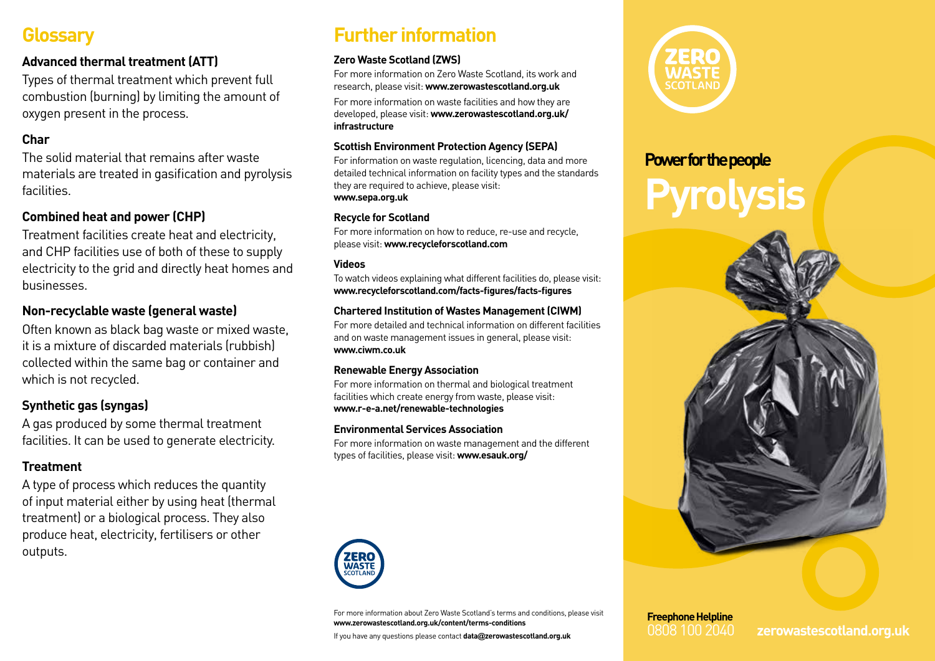# **Glossary**

# **Advanced thermal treatment (ATT)**

Types of thermal treatment which prevent full combustion (burning) by limiting the amount of oxygen present in the process.

# **Char**

The solid material that remains after waste materials are treated in gasification and pyrolysis facilities.

# **Combined heat and power (CHP)**

Treatment facilities create heat and electricity, and CHP facilities use of both of these to supply electricity to the grid and directly heat homes and businesses.

## **Non-recyclable waste (general waste)**

Often known as black bag waste or mixed waste, it is a mixture of discarded materials (rubbish) collected within the same bag or container and which is not recycled.

# **Synthetic gas (syngas)**

A gas produced by some thermal treatment facilities. It can be used to generate electricity.

## **Treatment**

A type of process which reduces the quantity of input material either by using heat (thermal treatment) or a biological process. They also produce heat, electricity, fertilisers or other outputs.

# **Further information**

### **Zero Waste Scotland (ZWS)**

For more information on Zero Waste Scotland, its work and research, please visit: **www.zerowastescotland.org.uk**

For more information on waste facilities and how they are developed, please visit: **www.zerowastescotland.org.uk/ infrastructure**

#### **Scottish Environment Protection Agency (SEPA)**

For information on waste regulation, licencing, data and more detailed technical information on facility types and the standards they are required to achieve, please visit: **www.sepa.org.uk**

#### **Recycle for Scotland**

For more information on how to reduce, re-use and recycle, please visit: **www.recycleforscotland.com**

#### **Videos**

To watch videos explaining what different facilities do, please visit: **www.recycleforscotland.com/facts-figures/facts-figures**

### **Chartered Institution of Wastes Management (CIWM)**

For more detailed and technical information on different facilities and on waste management issues in general, please visit: **www.ciwm.co.uk**

#### **Renewable Energy Association**

For more information on thermal and biological treatment facilities which create energy from waste, please visit: **www.r-e-a.net/renewable-technologies**

#### **Environmental Services Association**

For more information on waste management and the different types of facilities, please visit: **www.esauk.org/**



For more information about Zero Waste Scotland's terms and conditions, please visit **www.zerowastescotland.org.uk/content/terms-conditions**

If you have any questions please contact **data@zerowastescotland.org.uk**



# **Power for the people**



**Freephone Helpline**

0808 100 2040 **zerowastescotland.org.uk**